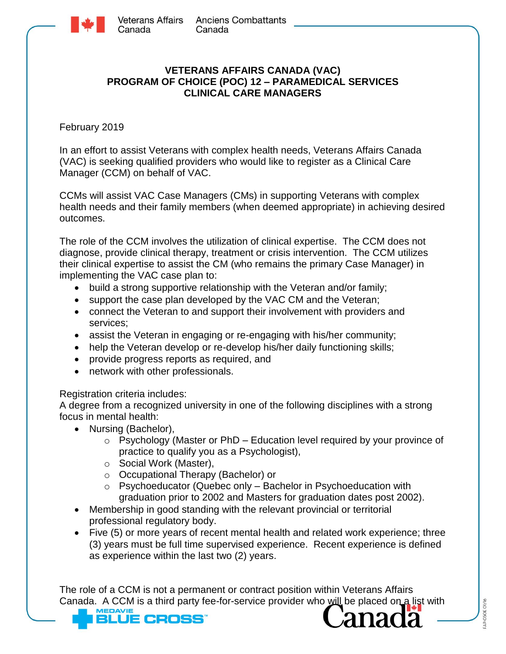

## **VETERANS AFFAIRS CANADA (VAC) PROGRAM OF CHOICE (POC) 12 – PARAMEDICAL SERVICES CLINICAL CARE MANAGERS**

February 2019

In an effort to assist Veterans with complex health needs, Veterans Affairs Canada (VAC) is seeking qualified providers who would like to register as a Clinical Care Manager (CCM) on behalf of VAC.

CCMs will assist VAC Case Managers (CMs) in supporting Veterans with complex health needs and their family members (when deemed appropriate) in achieving desired outcomes.

The role of the CCM involves the utilization of clinical expertise. The CCM does not diagnose, provide clinical therapy, treatment or crisis intervention. The CCM utilizes their clinical expertise to assist the CM (who remains the primary Case Manager) in implementing the VAC case plan to:

- build a strong supportive relationship with the Veteran and/or family;
- support the case plan developed by the VAC CM and the Veteran;
- connect the Veteran to and support their involvement with providers and services;
- assist the Veteran in engaging or re-engaging with his/her community;
- help the Veteran develop or re-develop his/her daily functioning skills;
- provide progress reports as required, and
- network with other professionals.

## Registration criteria includes:

A degree from a recognized university in one of the following disciplines with a strong focus in mental health:

- Nursing (Bachelor),
	- $\circ$  Psychology (Master or PhD Education level required by your province of practice to qualify you as a Psychologist),
	- o Social Work (Master),
	- o Occupational Therapy (Bachelor) or
	- o Psychoeducator (Quebec only Bachelor in Psychoeducation with graduation prior to 2002 and Masters for graduation dates post 2002).
- Membership in good standing with the relevant provincial or territorial professional regulatory body.
- Five (5) or more years of recent mental health and related work experience; three (3) years must be full time supervised experience. Recent experience is defined as experience within the last two (2) years.

The role of a CCM is not a permanent or contract position within Veterans Affairs Canada. A CCM is a third party fee-for-service provider who will be placed on a list with